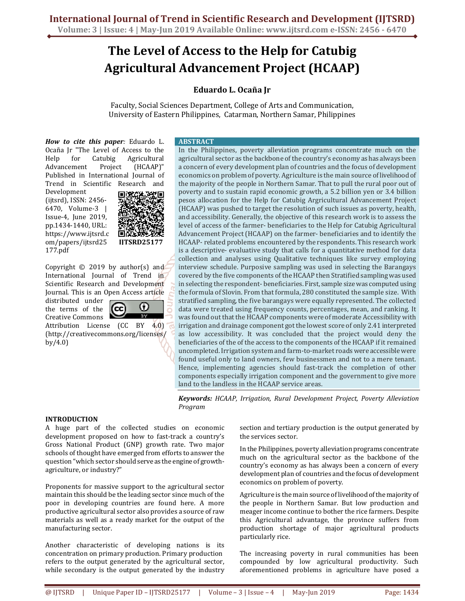# **The Level of Access to the Help for Catubig Agricultural Advancement Project (HCAAP)**

# **Eduardo L. Ocaña Jr**

Faculty, Social Sciences Department, College of Arts and Communication, University of Eastern Philippines, Catarman, Northern Samar, Philippines

*How to cite this paper:* Eduardo L. Ocaña Jr "The Level of Access to the Help for Catubig Agricultural Advancement Project (HCAAP)" Published in International Journal of Trend in Scientific Research and

Development (ijtsrd), ISSN: 2456- 6470, Volume-3 | Issue-4, June 2019, pp.1434-1440, URL: https://www.ijtsrd.c om/papers/ijtsrd25 177.pdf



 $\boldsymbol{\Omega}$ 

Copyright © 2019 by author(s) and International Journal of Trend in Scientific Research and Development Journal. This is an Open Access article

distributed under the terms of the Creative Commons

Attribution License (CC BY 4.0) (http://creativecommons.org/licenses/ by/4.0)

'cc

#### **ABSTRACT**

In the Philippines, poverty alleviation programs concentrate much on the agricultural sector as the backbone of the country's economy as has always been a concern of every development plan of countries and the focus of development economics on problem of poverty. Agriculture is the main source of livelihood of the majority of the people in Northern Samar. That to pull the rural poor out of poverty and to sustain rapid economic growth, a 5.2 billion yen or 3.4 billion pesos allocation for the Help for Catubig Argricultural Advancement Project (HCAAP) was pushed to target the resolution of such issues as poverty, health, and accessibility. Generally, the objective of this research work is to assess the level of access of the farmer- beneficiaries to the Help for Catubig Agricultural Advancement Project (HCAAP) on the farmer- beneficiaries and to identify the HCAAP- related problems encountered by the respondents. This research work is a descriptive- evaluative study that calls for a quantitative method for data collection and analyses using Qualitative techniques like survey employing interview schedule. Purposive sampling was used in selecting the Barangays covered by the five components of the HCAAP then Stratified sampling was used in selecting the respondent- beneficiaries. First, sample size was computed using the formula of Slovin. From that formula, 280 constituted the sample size. With stratified sampling, the five barangays were equally represented. The collected data were treated using frequency counts, percentages, mean, and ranking. It was found out that the HCAAP components were of moderate Accessibility with irrigation and drainage component got the lowest score of only 2.41 interpreted as low accessibility. It was concluded that the project would deny the beneficiaries of the of the access to the components of the HCAAP if it remained uncompleted. Irrigation system and farm-to-market roads were accessible were found useful only to land owners, few businessmen and not to a mere tenant. Hence, implementing agencies should fast-track the completion of other components especially irrigation component and the government to give more land to the landless in the HCAAP service areas.

*Keywords: HCAAP, Irrigation, Rural Development Project, Poverty Alleviation Program* 

### **INTRODUCTION**

A huge part of the collected studies on economic development proposed on how to fast-track a country's Gross National Product (GNP) growth rate. Two major schools of thought have emerged from efforts to answer the question "which sector should serve as the engine of growthagriculture, or industry?"

Proponents for massive support to the agricultural sector maintain this should be the leading sector since much of the poor in developing countries are found here. A more productive agricultural sector also provides a source of raw materials as well as a ready market for the output of the manufacturing sector.

Another characteristic of developing nations is its concentration on primary production. Primary production refers to the output generated by the agricultural sector, while secondary is the output generated by the industry section and tertiary production is the output generated by the services sector.

In the Philippines, poverty alleviation programs concentrate much on the agricultural sector as the backbone of the country's economy as has always been a concern of every development plan of countries and the focus of development economics on problem of poverty.

Agriculture is the main source of livelihood of the majority of the people in Northern Samar. But low production and meager income continue to bother the rice farmers. Despite this Agricultural advantage, the province suffers from production shortage of major agricultural products particularly rice.

The increasing poverty in rural communities has been compounded by low agricultural productivity. Such aforementioned problems in agriculture have posed a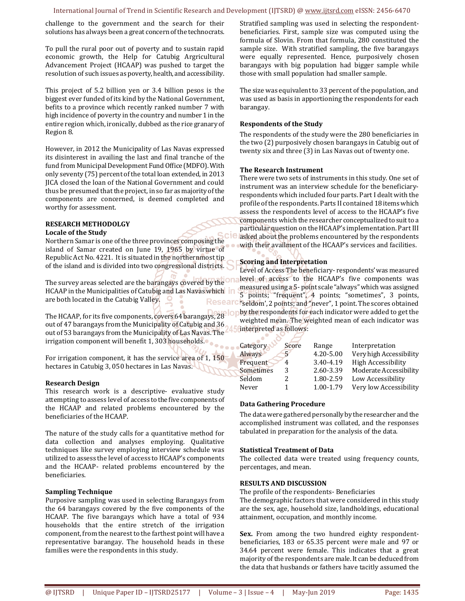challenge to the government and the search for their solutions has always been a great concern of the technocrats.

To pull the rural poor out of poverty and to sustain rapid economic growth, the Help for Catubig Argricultural Advancement Project (HCAAP) was pushed to target the resolution of such issues as poverty, health, and accessibility.

This project of 5.2 billion yen or 3.4 billion pesos is the biggest ever funded of its kind by the National Government, befits to a province which recently ranked number 7 with high incidence of poverty in the country and number 1 in the entire region which, ironically, dubbed as the rice granary of Region 8.

However, in 2012 the Municipality of Las Navas expressed its disinterest in availing the last and final tranche of the fund from Municipal Development Fund Office (MDFO). With only seventy (75) percent of the total loan extended, in 2013 JICA closed the loan of the National Government and could thus be presumed that the project, in so far as majority of the components are concerned, is deemed completed and worthy for assessment.

#### **RESEARCH METHODOLGY Locale of the Study**

Northern Samar is one of the three provinces composing the island of Samar created on June 19, 1965 by virtue of Republic Act No. 4221. It is situated in the northernmost tip of the island and is divided into two congressional districts.

The survey areas selected are the barangays covered by the One HCAAP in the Municipalities of Catubig and Las Navas which in are both located in the Catubig Valley. Researd

The HCAAP, for its five components, covers 64 barangays, 28 out of 47 barangays from the Municipality of Catubig and 36 out of 53 barangays from the Municipality of Las Navas. The irrigation component will benefit 1, 303 households.

For irrigation component, it has the service area of 1, 150 hectares in Catubig 3, 050 hectares in Las Navas.

#### **Research Design**

This research work is a descriptive- evaluative study attempting to assess level of access to the five components of the HCAAP and related problems encountered by the beneficiaries of the HCAAP.

The nature of the study calls for a quantitative method for data collection and analyses employing. Qualitative techniques like survey employing interview schedule was utilized to assess the level of access to HCAAP's components and the HCAAP- related problems encountered by the beneficiaries.

#### **Sampling Technique**

Purposive sampling was used in selecting Barangays from the 64 barangays covered by the five components of the HCAAP. The five barangays which have a total of 934 households that the entire stretch of the irrigation component, from the nearest to the farthest point will have a representative barangay. The household heads in these families were the respondents in this study.

Stratified sampling was used in selecting the respondentbeneficiaries. First, sample size was computed using the formula of Slovin. From that formula, 280 constituted the sample size. With stratified sampling, the five barangays were equally represented. Hence, purposively chosen barangays with big population had bigger sample while those with small population had smaller sample.

The size was equivalent to 33 percent of the population, and was used as basis in apportioning the respondents for each barangay.

#### **Respondents of the Study**

The respondents of the study were the 280 beneficiaries in the two (2) purposively chosen barangays in Catubig out of twenty six and three (3) in Las Navas out of twenty one.

#### **The Research Instrument**

There were two sets of instruments in this study. One set of instrument was an interview schedule for the beneficiaryrespondents which included four parts. Part I dealt with the profile of the respondents. Parts II contained 18 items which assess the respondents level of access to the HCAAP's five components which the researcher conceptualized to suit to a particular question on the HCAAP's implementation. Part III asked about the problems encountered by the respondents with their availment of the HCAAP's services and facilities.

#### **Scoring and Interpretation**

Level of Access The beneficiary- respondents' was measured level of access to the HCAAP's five components was measured using a 5- point scale "always" which was assigned 5 points; "frequent", 4 points; "sometimes", 3 points, "seldom', 2 points; and "never", 1 point. The scores obtained by the respondents for each indicator were added to get the weighted mean. The weighted mean of each indicator was

| interpreted as follows: |  |  |
|-------------------------|--|--|
|                         |  |  |

| Category  | Score | Range     | Interpretation          |
|-----------|-------|-----------|-------------------------|
| Always    | 5     | 4.20-5.00 | Very high Accessibility |
| Frequent  | 4     | 3.40-4.19 | High Accessibility      |
| Sometimes | 3     | 2.60-3.39 | Moderate Accessibility  |
| Seldom    | 2.    | 1.80-2.59 | Low Accessibility       |
| Never     |       | 1.00-1.79 | Very low Accessibility  |
|           |       |           |                         |

#### **Data Gathering Procedure**

The data were gathered personally by the researcher and the accomplished instrument was collated, and the responses tabulated in preparation for the analysis of the data.

#### **Statistical Treatment of Data**

The collected data were treated using frequency counts, percentages, and mean.

#### **RESULTS AND DISCUSSION**

The profile of the respondents- Beneficiaries

The demographic factors that were considered in this study are the sex, age, household size, landholdings, educational attainment, occupation, and monthly income.

**Sex.** From among the two hundred eighty respondentbeneficiaries, 183 or 65.35 percent were male and 97 or 34.64 percent were female. This indicates that a great majority of the respondents are male. It can be deduced from the data that husbands or fathers have tacitly assumed the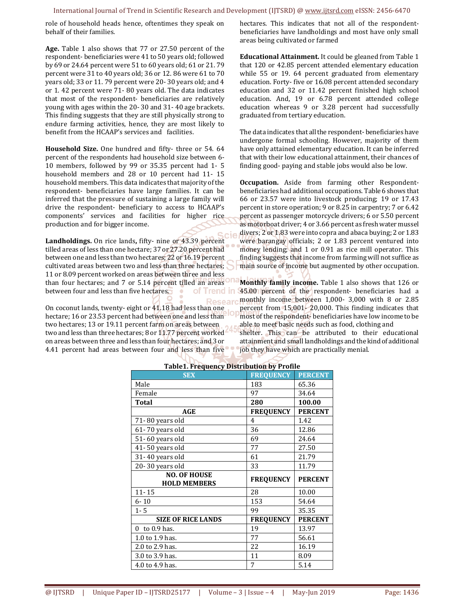role of household heads hence, oftentimes they speak on behalf of their families.

**Age.** Table 1 also shows that 77 or 27.50 percent of the respondent- beneficiaries were 41 to 50 years old; followed by 69 or 24.64 percent were 51 to 60 years old; 61 or 21. 79 percent were 31 to 40 years old; 36 or 12. 86 were 61 to 70 years old; 33 or 11. 79 percent were 20- 30 years old; and 4 or 1. 42 percent were 71- 80 years old. The data indicates that most of the respondent- beneficiaries are relatively young with ages within the 20- 30 and 31- 40 age brackets. This finding suggests that they are still physically strong to endure farming activities, hence, they are most likely to benefit from the HCAAP's services and facilities.

**Household Size.** One hundred and fifty- three or 54. 64 percent of the respondents had household size between 6- 10 members, followed by 99 or 35.35 percent had 1- 5 household members and 28 or 10 percent had 11- 15 household members. This data indicates that majority of the respondent- beneficiaries have large families. It can be inferred that the pressure of sustaining a large family will drive the respondent- beneficiary to access to HCAAP's components' services and facilities for higher rice production and for bigger income.

**Landholdings.** On rice lands**,** fifty- nine or 43.39 percent tilled areas of less than one hectare; 37 or 27.20 percent had between one and less than two hectares; 22 or 16.19 percent cultivated areas between two and less than three hectares; 11 or 8.09 percent worked on areas between three and less than four hectares; and 7 or 5.14 percent tilled an areas<sup>one</sup> between four and less than five hectares. of Trend in

On coconut lands, twenty- eight or 41.18 had less than one hectare; 16 or 23.53 percent had between one and less than two hectares; 13 or 19.11 percent farm on areas between two and less than three hectares; 8 or 11.77 percent worked on areas between three and less than four hectares; and 3 or 4.41 percent had areas between four and less than five hectares. This indicates that not all of the respondentbeneficiaries have landholdings and most have only small areas being cultivated or farmed

**Educational Attainment.** It could be gleaned from Table 1 that 120 or 42.85 percent attended elementary education while 55 or 19. 64 percent graduated from elementary education. Forty- five or 16.08 percent attended secondary education and 32 or 11.42 percent finished high school education. And, 19 or 6.78 percent attended college education whereas 9 or 3.28 percent had successfully graduated from tertiary education.

The data indicates that all the respondent- beneficiaries have undergone formal schooling. However, majority of them have only attained elementary education. It can be inferred that with their low educational attainment, their chances of finding good- paying and stable jobs would also be low.

**Occupation.** Aside from farming other Respondentbeneficiaries had additional occupations. Table 6 shows that 66 or 23.57 were into livestock producing; 19 or 17.43 percent in store operation; 9 or 8.25 in carpentry; 7 or 6.42 percent as passenger motorcycle drivers; 6 or 5.50 percent as motorboat driver; 4 or 3.66 percent as fresh water mussel divers; 2 or 1.83 were into copra and abaca buying; 2 or 1.83 were barangay officials; 2 or 1.83 percent ventured into money lending; and 1 or 0.91 as rice mill operator. This finding suggests that income from farming will not suffice as main source of income but augmented by other occupation.

**Monthly family income.** Table 1 also shows that 126 or 45.00 percent of the respondent- beneficiaries had a monthly income between 1,000- 3,000 with 8 or 2.85 **Researd** percent from 15,001- 20,000. This finding indicates that most of the respondent- beneficiaries have low income to be able to meet basic needs such as food, clothing and

> shelter. This can be attributed to their educational attainment and small landholdings and the kind of additional job they have which are practically menial.

| <b>SEX</b>                | <b>FREQUENCY</b> | <b>PERCENT</b> |
|---------------------------|------------------|----------------|
| Male                      | 183              | 65.36          |
| Female                    | 97               | 34.64          |
| <b>Total</b>              | 280              | 100.00         |
| AGE                       | <b>FREQUENCY</b> | <b>PERCENT</b> |
| 71-80 years old           | 4                | 1.42           |
| 61-70 years old           | 36               | 12.86          |
| 51-60 years old           | 69               | 24.64          |
| 41-50 years old           | 77               | 27.50          |
| 31-40 years old           | 61               | 21.79          |
| 20-30 years old           | 33               | 11.79          |
|                           |                  |                |
| <b>NO. OF HOUSE</b>       |                  |                |
| <b>HOLD MEMBERS</b>       | <b>FREQUENCY</b> | <b>PERCENT</b> |
| $11 - 15$                 | 28               | 10.00          |
| $6 - 10$                  | 153              | 54.64          |
| $1 - 5$                   | 99               | 35.35          |
| <b>SIZE OF RICE LANDS</b> | <b>FREQUENCY</b> | <b>PERCENT</b> |
| $0$ to $0.9$ has.         | 19               | 13.97          |
| 1.0 to 1.9 has.           | 77               | 56.61          |
| 2.0 to 2.9 has.           | 22               | 16.19          |
| 3.0 to 3.9 has.           | 11               | 8.09           |

#### **Table1. Frequency Distribution by Profile**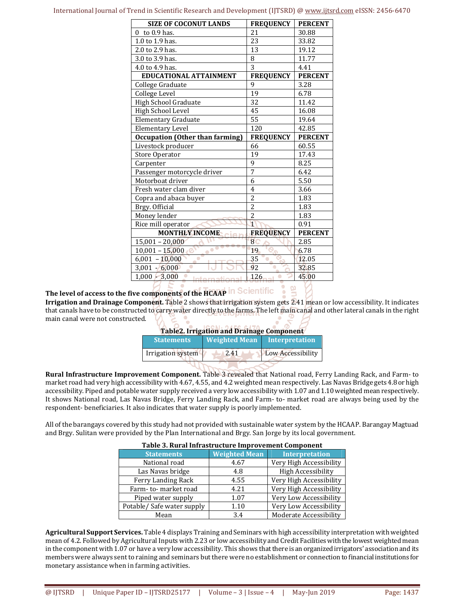| <b>SIZE OF COCONUT LANDS</b>           | <b>FREQUENCY</b> | <b>PERCENT</b> |
|----------------------------------------|------------------|----------------|
| to 0.9 has.<br>0                       | 21               | 30.88          |
| 1.0 to 1.9 has.                        | 23               | 33.82          |
| 2.0 to 2.9 has.                        | 13               | 19.12          |
| 3.0 to 3.9 has.                        | 8                | 11.77          |
| 4.0 to 4.9 has.                        | 3                | 4.41           |
| <b>EDUCATIONAL ATTAINMENT</b>          | <b>FREQUENCY</b> | <b>PERCENT</b> |
| College Graduate                       | 9                | 3.28           |
| College Level                          | 19               | 6.78           |
| High School Graduate                   | 32               | 11.42          |
| High School Level                      | 45               | 16.08          |
| <b>Elementary Graduate</b>             | 55               | 19.64          |
| <b>Elementary Level</b>                | 120              | 42.85          |
| <b>Occupation (Other than farming)</b> | <b>FREQUENCY</b> | <b>PERCENT</b> |
| Livestock producer                     | 66               | 60.55          |
| Store Operator                         | 19               | 17.43          |
| Carpenter                              | $\overline{9}$   | 8.25           |
| Passenger motorcycle driver            | $\overline{7}$   | 6.42           |
| Motorboat driver                       | 6                | 5.50           |
| Fresh water clam diver                 | 4                | 3.66           |
| Copra and abaca buyer                  | $\overline{c}$   | 1.83           |
| Brgy. Official                         | $\overline{2}$   | 1.83           |
| Money lender                           | $\overline{2}$   | 1.83           |
| Rice mill operator                     | $\overline{1}$   | 0.91           |
| <b>MONTHLY INCOME</b>                  | <b>FREQUENCY</b> | <b>PERCENT</b> |
| $15,001 - 20,000$                      | $\overline{8}$   | 2.85           |
| $10,001 - 15,000$                      | 19               | 6.78           |
| $6,001 - 10,000$<br>$\bullet$          | 35               | 12.05          |
| $3,001 - 6,000$                        | 92               | 32.85          |
| $1,000 - 3,000$<br>Intornational       | 126              | 45.00          |
|                                        |                  |                |

# **The level of access to the five components of the HCAAP**

**Irrigation and Drainage Component.** Table 2 shows that irrigation system gets 2.41 mean or low accessibility. It indicates that canals have to be constructed to carry water directly to the farms. The left main canal and other lateral canals in the right main canal were not constructed. **Table 2. IRRN: 2456.6170 and Drain** 

| Table 2. Irrigation and Drainage Component |                      |                   |  |
|--------------------------------------------|----------------------|-------------------|--|
| <b>Statements</b>                          | <b>Weighted Mean</b> | Interpretation    |  |
| Irrigation system                          | 2.41                 | Low Accessibility |  |
|                                            |                      |                   |  |

**Rural Infrastructure Improvement Component.** Table 3 revealed that National road, Ferry Landing Rack, and Farm- to market road had very high accessibility with 4.67, 4.55, and 4.2 weighted mean respectively. Las Navas Bridge gets 4.8 or high accessibility. Piped and potable water supply received a very low accessibility with 1.07 and 1.10 weighted mean respectively. It shows National road, Las Navas Bridge, Ferry Landing Rack, and Farm- to- market road are always being used by the respondent- beneficiaries. It also indicates that water supply is poorly implemented.

All of the barangays covered by this study had not provided with sustainable water system by the HCAAP. Barangay Magtuad and Brgy. Sulitan were provided by the Plan International and Brgy. San Jorge by its local government.

| Table 3. Rural Infrastructure Improvement Component |                      |                           |  |  |
|-----------------------------------------------------|----------------------|---------------------------|--|--|
| <b>Statements</b>                                   | <b>Weighted Mean</b> | <b>Interpretation</b>     |  |  |
| National road                                       | 4.67                 | Very High Accessibility   |  |  |
| Las Navas bridge                                    | 4.8                  | <b>High Accessibility</b> |  |  |
| Ferry Landing Rack                                  | 4.55                 | Very High Accessibility   |  |  |
| Farm-to-market road                                 | 4.21                 | Very High Accessibility   |  |  |
| Piped water supply                                  | 1.07                 | Very Low Accessibility    |  |  |
| Potable/ Safe water supply                          | 1.10                 | Very Low Accessibility    |  |  |
| Mean                                                | 3.4                  | Moderate Accessibility    |  |  |

#### **Agricultural Support Services.** Table 4 displays Training and Seminars with high accessibility interpretation with weighted mean of 4.2. Followed by Agricultural Inputs with 2.23 or low accessibility and Credit Facilities with the lowest weighted mean in the component with 1.07 or have a very low accessibility. This shows that there is an organized irrigators' association and its members were always sent to raining and seminars but there were no establishment or connection to financial institutions for monetary assistance when in farming activities.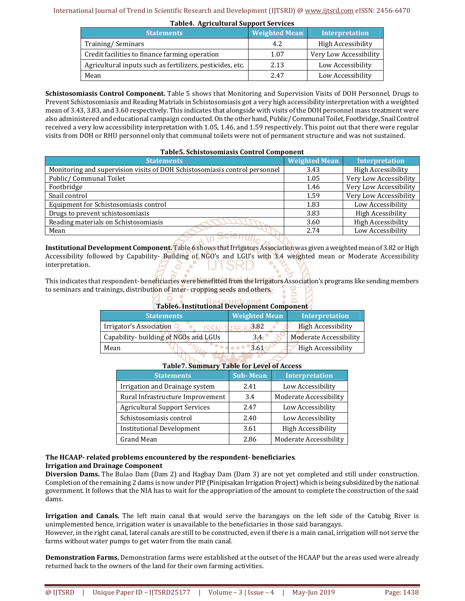| <b>Table4. Agricultural Support Services</b>              |                      |                        |  |  |
|-----------------------------------------------------------|----------------------|------------------------|--|--|
| <b>Statements</b>                                         | <b>Weighted Mean</b> | <b>Interpretation</b>  |  |  |
| Training/Seminars                                         | 4.2                  | High Accessibility     |  |  |
| Credit facilities to finance farming operation            | 1.07                 | Very Low Accessibility |  |  |
| Agricultural inputs such as fertilizers, pesticides, etc. | 2.13                 | Low Accessibility      |  |  |
| Mean                                                      | 2.47                 | Low Accessibility      |  |  |

**Schistosomiasis Control Component.** Table 5 shows that Monitoring and Supervision Visits of DOH Personnel, Drugs to Prevent Schistosomiasis and Reading Matrials in Schistosomiasis got a very high accessibility interpretation with a weighted mean of 3.43, 3.83, and 3.60 respectively. This indicates that alongside with visits of the DOH personnel mass treatment were also administered and educational campaign conducted. On the other hand, Public/ Communal Toilet, Footbridge, Snail Control received a very low accessibility interpretation with 1.05, 1.46, and 1.59 respectively. This point out that there were regular visits from DOH or RHU personnel only that communal toilets were not of permanent structure and was not sustained.

| Table5. Schistosomiasis Control Component |  |
|-------------------------------------------|--|
|                                           |  |

| <b>Statements</b>                                                          | <b>Weighted Mean</b> | <b>Interpretation</b>     |
|----------------------------------------------------------------------------|----------------------|---------------------------|
| Monitoring and supervision visits of DOH Schistosomiasis control personnel | 3.43                 | <b>High Accessibility</b> |
| Public/ Communal Toilet                                                    | 1.05                 | Very Low Accessibility    |
| Footbridge                                                                 | 1.46                 | Very Low Accessibility    |
| Snail control                                                              | 1.59                 | Very Low Accessibility    |
| Equipment for Schistosomiasis control                                      | 1.83                 | Low Accessibility         |
| Drugs to prevent schistosomiasis                                           | 3.83                 | <b>High Acessibility</b>  |
| Reading materials on Schistosomiasis                                       | 3.60                 | <b>High Accessibility</b> |
| Mean<br><b><i>College State</i></b>                                        | 2.74                 | Low Accessibility         |

**Institutional Development Component.** Table 6 shows that Irrigators Association was given a weighted mean of 3.82 or High Accessibility followed by Capability- Building of NGO's and LGU's with 3.4 weighted mean or Moderate Accessibility interpretation. **O** MUISRD

This indicates that respondent- beneficiaries were benefitted from the Irrigators Association's programs like sending members to seminars and trainings, distribution of inter- cropping seeds and others.

 $\begin{array}{cc} \mathbf{2} & \mathbf{3} \\ \mathbf{3} & \mathbf{4} \end{array}$ 

| <b>Table6. Institutional Development Component</b> |  |
|----------------------------------------------------|--|
|                                                    |  |

| <b>Statements</b>                     | <b>Weighted Mean</b> | Interpretation            |
|---------------------------------------|----------------------|---------------------------|
| Irrigator's Association               | 3.82                 | <b>High Accessibility</b> |
| Capability- building of NGOs and LGUs | 3.4                  | Moderate Accessibility    |
| Mean                                  | 3.61                 | <b>High Accessibility</b> |
|                                       |                      |                           |

| <b>Statements</b>                    | <b>Sub-Mean</b> | <b>Interpretation</b>     |
|--------------------------------------|-----------------|---------------------------|
| Irrigation and Drainage system       | 2.41            | Low Accessibility         |
| Rural Infrastructure Improvement     | 3.4             | Moderate Accessibility    |
| <b>Agricultural Support Services</b> | 2.47            | Low Accessibility         |
| Schistosomiasis control              | 2.40            | Low Accessibility         |
| <b>Institutional Development</b>     | 3.61            | <b>High Accessibility</b> |
| Grand Mean                           | 2.86            | Moderate Accessibility    |

# **Table7. Summary Table for Level of Access**

## **The HCAAP- related problems encountered by the respondent- beneficiaries***.*  **Irrigation and Drainage Component**

**Diversion Dams.** The Bulao Dam (Dam 2) and Hagbay Dam (Dam 3) are not yet completed and still under construction. Completion of the remaining 2 dams is now under PIP (Pinipisakan Irrigation Project) which is being subsidized by the national government. It follows that the NIA has to wait for the appropriation of the amount to complete the construction of the said dams.

**Irrigation and Canals.** The left main canal that would serve the barangays on the left side of the Catubig River is unimplemented hence, irrigation water is unavailable to the beneficiaries in those said barangays.

However, in the right canal, lateral canals are still to be constructed, even if there is a main canal, irrigation will not serve the farms without water pumps to get water from the main canal.

**Demonstration Farms.** Demonstration farms were established at the outset of the HCAAP but the areas used were already returned back to the owners of the land for their own farming activities.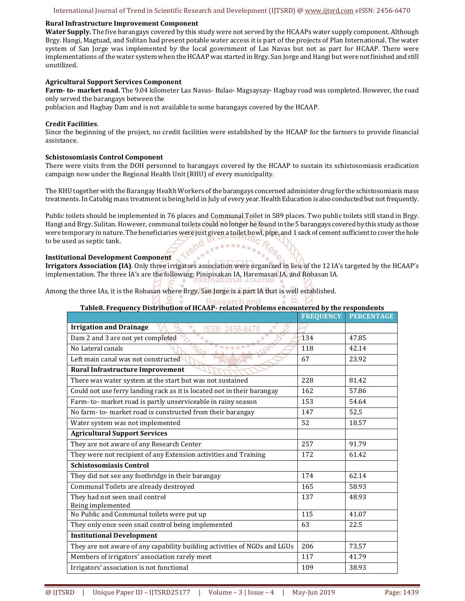#### **Rural Infrastructure Improvement Component**

**Water Supply.** The five barangays covered by this study were not served by the HCAAPs water supply component. Although Brgy. Hangi, Magtuad, and Sulitan had present potable water access it is part of the projects of Plan International. The water system of San Jorge was implemented by the local government of Las Navas but not as part for HCAAP. There were implementations of the water system when the HCAAP was started in Brgy. San Jorge and Hangi but were not finished and still unutilized.

#### **Agricultural Support Services Component**

**Farm- to- market road.** The 9.04 kilometer Las Navas- Bulao- Magsaysay- Hagbay road was completed. However, the road only served the barangays between the

poblacion and Hagbay Dam and is not available to some barangays covered by the HCAAP.

#### **Credit Facilities**.

Since the beginning of the project, no credit facilities were established by the HCAAP for the farmers to provide financial assistance.

#### **Schistosomiasis Control Component**

There were visits from the DOH personnel to barangays covered by the HCAAP to sustain its schistosomiasis eradication campaign now under the Regional Health Unit (RHU) of every municipality.

The RHU together with the Barangay Health Workers of the barangays concerned administer drug for the schistosomiasis mass treatments. In Catubig mass treatment is being held in July of every year. Health Education is also conducted but not frequently.

Public toilets should be implemented in 76 places and Communal Toilet in 589 places. Two public toilets still stand in Brgy. Hangi and Brgy. Sulitan. However, communal toilets could no longer be found in the 5 barangays covered by this study as those were temporary in nature. The beneficiaries were just given a toilet bowl, pipe, and 1 sack of cement sufficient to cover the hole to be used as septic tank.

#### **Institutional Development Component**

**Irrigators Association (IA)**. Only three irrigators association were organized in lieu of the 12 IA's targeted by the HCAAP's implementation. The three IA's are the following: Pinipisakan IA, Haremasan IA, and Robasan IA.

Among the three IAs, it is the Robasan where Brgy. San Jorge is a part IA that is well established.

| Table8. Frequency Distribution of HCAAP- related Problems encountered by the respondents |                  |                   |
|------------------------------------------------------------------------------------------|------------------|-------------------|
|                                                                                          | <b>FREQUENCY</b> | <b>PERCENTAGE</b> |
| <b>Irrigation and Drainage</b><br>ම<br>$\bullet$                                         |                  |                   |
| Dam 2 and 3 are not yet completed                                                        | 134              | 47.85             |
| No Lateral canals<br>0 o o o 4                                                           | 118              | 42.14             |
| Left main canal was not constructed                                                      | 67               | 23.92             |
| Rural Infrastructure Improvement                                                         |                  |                   |
| There was water system at the start but was not sustained                                | 228              | 81.42             |
| Could not use ferry landing rack as it is located not in their barangay                  | 162              | 57.86             |
| Farm-to-market road is partly unserviceable in rainy season                              | 153              | 54.64             |
| No farm-to-market road is constructed from their barangay                                | 147              | 52.5              |
| Water system was not implemented                                                         | 52               | 18.57             |
| <b>Agricultural Support Services</b>                                                     |                  |                   |
| They are not aware of any Research Center                                                | 257              | 91.79             |
| They were not recipient of any Extension activities and Training                         | 172              | 61.42             |
| <b>Schistosomiasis Control</b>                                                           |                  |                   |
| They did not see any footbridge in their barangay                                        | 174              | 62.14             |
| Communal Toilets are already destroyed                                                   | 165              | 58.93             |
| They had not seen snail control<br>Being implemented                                     | 137              | 48.93             |
| No Public and Communal toilets were put up                                               | 115              | 41.07             |
| They only once seen snail control being implemented                                      | 63               | 22.5              |
| <b>Institutional Development</b>                                                         |                  |                   |
| They are not aware of any capability building activities of NGOs and LGUs                | 206              | 73.57             |
| Members of irrigators' association rarely meet                                           | 117              | 41.79             |
| Irrigators' association is not functional                                                | 109              | 38.93             |